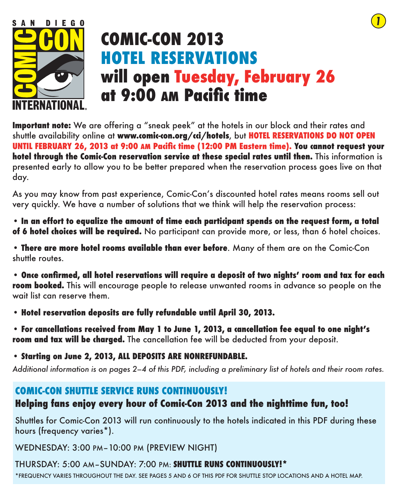

# **COMIC-CON 2013 HOTEL RESERVATIONS will open Tuesday, February 26 at 9:00 AM Pacific time**

*1*

**Important note:** We are offering a "sneak peek" at the hotels in our block and their rates and shuttle availability online at **www.comic-con.org/cci/hotels**, but **HOTEL RESERVATIONS DO NOT OPEN UNTIL FEBRUARY 26, 2013 at 9:00 AM Pacific time (12:00 PM Eastern time). You cannot request your hotel through the Comic-Con reservation service at these special rates until then.** This information is presented early to allow you to be better prepared when the reservation process goes live on that day.

As you may know from past experience, Comic-Con's discounted hotel rates means rooms sell out very quickly. We have a number of solutions that we think will help the reservation process:

**• In an effort to equalize the amount of time each participant spends on the request form, a total of 6 hotel choices will be required.** No participant can provide more, or less, than 6 hotel choices.

• **There are more hotel rooms available than ever before**. Many of them are on the Comic-Con shuttle routes.

• **Once confirmed, all hotel reservations will require a deposit of two nights' room and tax for each room booked.** This will encourage people to release unwanted rooms in advance so people on the wait list can reserve them.

• **Hotel reservation deposits are fully refundable until April 30, 2013.**

• **For cancellations received from May 1 to June 1, 2013, a cancellation fee equal to one night's room and tax will be charged.** The cancellation fee will be deducted from your deposit.

• **Starting on June 2, 2013, ALL DEPOSITS ARE NONREFUNDABLE.**

*Additional information is on pages 2–4 of this PDF, including a preliminary list of hotels and their room rates.*

## **COMIC-CON SHUTTLE SERVICE RUNS CONTINUOUSLY! Helping fans enjoy every hour of Comic-Con 2013 and the nighttime fun, too!**

Shuttles for Comic-Con 2013 will run continuously to the hotels indicated in this PDF during these hours (frequency varies\*).

WEDNESDAY: 3:00 PM–10:00 PM (PREVIEW NIGHT)

THURSDAY: 5:00 AM–SUNDAY: 7:00 PM: **SHUTTLE RUNS CONTINUOUSLY!\***

\*FREQUENCY VARIES THROUGHOUT THE DAY. SEE PAGES 5 AND 6 OF THIS PDF FOR SHUTTLE STOP LOCATIONS AND A HOTEL MAP.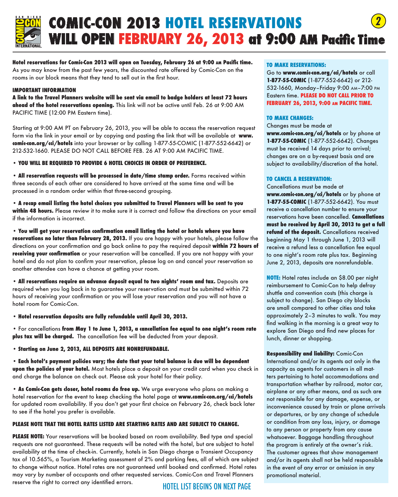

### *2* **COMIC-CON 2013 HOTEL RESERVATIONS WILL OPEN FEBRUARY 26, 2013 at 9:00 AM Pacific Time**

**Hotel reservations for Comic-Con 2013 will open on Tuesday, February 26 at 9:00 am Pacific time.**  As you may know from the past few years, the discounted rate offered by Comic-Con on the rooms in our block means that they tend to sell out in the first hour.

#### **IMPORTANT INFORMATION**

**A link to the Travel Planners website will be sent via email to badge holders at least 72 hours ahead of the hotel reservations opening.** This link will not be active until Feb. 26 at 9:00 AM PACIFIC TIME (12:00 PM Eastern time).

Starting at 9:00 AM PT on February 26, 2013, you will be able to access the reservation request form via the link in your email or by copying and pasting the link that will be available at **www. comic-con.org/cci/hotels** into your browser or by calling 1-877-55-COMIC (1-877-552-6642) or 212-532-1660. PLEASE DO NOT CALL BEFORE FEB. 26 AT 9:00 AM PACIFIC TIME.

**• YOU WILL BE REQUIRED TO PROVIDE 6 HOTEL CHOICES IN ORDER OF PREFERENCE.** 

**• All reservation requests will be processed in date/time stamp order.** Forms received within three seconds of each other are considered to have arrived at the same time and will be processed in a random order within that three-second grouping.

**• A recap email listing the hotel choices you submitted to Travel Planners will be sent to you within 48 hours.** Please review it to make sure it is correct and follow the directions on your email if the information is incorrect.

**• You will get your reservation confirmation email listing the hotel or hotels where you have reservations no later than February 28, 2013.** If you are happy with your hotels, please follow the directions on your confirmation and go back online to pay the required deposit **within 72 hours of receiving your confirmation** or your reservation will be cancelled. If you are not happy with your hotel and do not plan to confirm your reservation, please log on and cancel your reservation so another attendee can have a chance at getting your room.

**• All reservations require an advance deposit equal to two nights' room and tax.** Deposits are required when you log back in to guarantee your reservation and must be submitted within 72 hours of receiving your confirmation or you will lose your reservation and you will not have a hotel room for Comic-Con.

**• Hotel reservation deposits are fully refundable until April 30, 2013.** 

• For cancellations **from May 1 to June 1, 2013, a cancellation fee equal to one night's room rate plus tax will be charged.** The cancellation fee will be deducted from your deposit.

• **Starting on June 2, 2013, ALL DEPOSITS ARE NONREFUNDABLE.**

• **Each hotel's payment policies vary; the date that your total balance is due will be dependent upon the policies of your hotel.** Most hotels place a deposit on your credit card when you check in and charge the balance on check out. Please ask your hotel for their policy.

• **As Comic-Con gets closer, hotel rooms do free up.** We urge everyone who plans on making a hotel reservation for the event to keep checking the hotel page at **www.comic-con.org/cci/hotels** for updated room availability. If you don't get your first choice on February 26, check back later to see if the hotel you prefer is available.

#### **PLEASE NOTE THAT THE HOTEL RATES LISTED ARE STARTING RATES AND ARE SUBJECT TO CHANGE.**

**PLEASE NOTE:** Your reservations will be booked based on room availability. Bed type and special requests are not guaranteed. These requests will be noted with the hotel, but are subject to hotel availability at the time of check-in. Currently, hotels in San Diego charge a Transient Occupancy tax of 10.565%, a Tourism Marketing assessment of 2% and parking fees, all of which are subject to change without notice. Hotel rates are not guaranteed until booked and confirmed. Hotel rates may vary by number of occupants and other requested services. Comic-Con and Travel Planners reserve the right to correct any identified errors.

#### HOTEL LIST BEGINS ON NEXT PAGE

#### **TO MAKE RESERVATIONS:**

Go to **www.comic-con.org/cci/hotels** or call **1-877-55-COMIC** (1-877-552-6642) or 212- 532-1660, Monday–Friday 9:00 am–7:00 pm Eastern time. **PLEASE DO NOT CALL PRIOR TO FEBRUARY 26, 2013, 9:00 am PACIFIC TIME.** 

#### **TO MAKE CHANGES:**

Changes must be made at **www.comic-con.org/cci/hotels** or by phone at **1-877-55-COMIC** (1-877-552-6642). Changes must be received 14 days prior to arrival; changes are on a by-request basis and are subject to availability/discretion of the hotel.

#### **TO CANCEL A RESERVATION:**

Cancellations must be made at **www.comic-con.org/cci/hotels** or by phone at **1-877-55-COMIC** (1-877-552-6642). You must receive a cancellation number to ensure your reservations have been cancelled. **Cancellations must be received by April 30, 2013 to get a full refund of the deposit.** Cancellations received beginning May 1 through June 1, 2013 will receive a refund less a cancellation fee equal to one night's room rate plus tax. Beginning June 2, 2013, deposits are nonrefundable.

**NOTE:** Hotel rates include an \$8.00 per night reimbursement to Comic-Con to help defray shuttle and convention costs (this charge is subject to change). San Diego city blocks are small compared to other cities and take approximately 2–3 minutes to walk. You may find walking in the morning is a great way to explore San Diego and find new places for lunch, dinner or shopping.

**Responsibility and liability:** Comic-Con International and/or its agents act only in the capacity as agents for customers in all matters pertaining to hotel accommodations and transportation whether by railroad, motor car, airplane or any other means, and as such are not responsible for any damage, expense, or inconvenience caused by train or plane arrivals or departures, or by any change of schedule or condition from any loss, injury, or damage to any person or property from any cause whatsoever. Baggage handling throughout the program is entirely at the owner's risk. The customer agrees that show management and/or its agents shall not be held responsible in the event of any error or omission in any promotional material.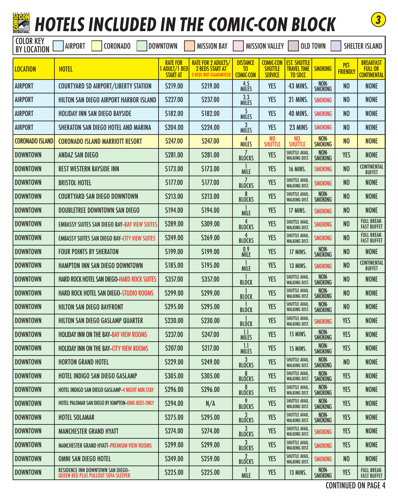

# **HOTELS INCLUDED IN THE COMIC-CON BLOCK**



| <b>COLOR KEY</b><br><b>BY LOCATION</b> | <b>AIRPORT</b><br><b>CORONADO</b>                                               | <b>DOWNTOWN</b>                                     | <b>MISSION BAY</b>                                                                  |                                                       | <b>MISSION VALLEY</b>                                |                                                             | <b>OLD TOWN</b>        |                         | <b>SHELTER ISLAND</b>                                    |
|----------------------------------------|---------------------------------------------------------------------------------|-----------------------------------------------------|-------------------------------------------------------------------------------------|-------------------------------------------------------|------------------------------------------------------|-------------------------------------------------------------|------------------------|-------------------------|----------------------------------------------------------|
| <b>LOCATION</b>                        | <b>HOTEL</b>                                                                    | <b>RATE FOR</b><br>1 ADULT/1 BED<br><b>START AT</b> | <b>RATE FOR 2 ADULTS/</b><br><b>2 BEDS START AT</b><br><b>2 BEDS NOT GUARANTEED</b> | <b>DISTANCE</b><br>T <sub>0</sub><br><b>COMIC-CON</b> | <b>COMIC-CON</b><br><b>SHUTTLE</b><br><b>SERVICE</b> | <b>EST. SHUTTLE</b><br><b>TRAVEL TIME</b><br><b>TO SDCC</b> | <b>SMOKING</b>         | PET-<br><b>FRIENDLY</b> | <b>BREAKFAST</b><br><b>FULL OR</b><br><b>CONTINENTAL</b> |
| <b>AIRPORT</b>                         | <b>COURTYARD SD AIRPORT/LIBERTY STATION</b>                                     | \$219.00                                            | \$219.00                                                                            | 4.5<br><b>MILES</b>                                   | <b>YES</b>                                           | <b>43 MINS.</b>                                             | NON-<br><b>SMOKING</b> | N <sub>0</sub>          | <b>NONE</b>                                              |
| <b>AIRPORT</b>                         | HILTON SAN DIEGO AIRPORT HARBOR ISLAND                                          | \$227.00                                            | \$237.00                                                                            | 3.3<br><b>MILES</b>                                   | <b>YES</b>                                           | <b>21 MINS.</b>                                             | <b>SMOKING</b>         | N <sub>0</sub>          | <b>NONE</b>                                              |
| <b>AIRPORT</b>                         | <b>HOLIDAY INN SAN DIEGO BAYSIDE</b>                                            | \$182.00                                            | \$182.00                                                                            | 5<br><b>MILES</b>                                     | <b>YES</b>                                           | <b>40 MINS.</b>                                             | <b>SMOKING</b>         | N <sub>0</sub>          | <b>NONE</b>                                              |
| <b>AIRPORT</b>                         | SHERATON SAN DIEGO HOTEL AND MARINA                                             | \$204.00                                            | \$224.00                                                                            | <b>MILES</b>                                          | <b>YES</b>                                           | 23 MINS                                                     | <b>SMOKING</b>         | N <sub>0</sub>          | <b>NONE</b>                                              |
| <b>CORONADO ISLAND</b>                 | <b>CORONADO ISLAND MARRIOTT RESORT</b>                                          | \$247.00                                            | \$247.00                                                                            | 4<br><b>MILES</b>                                     | N <sub>0</sub><br><b>SHUTTLE</b>                     | N <sub>0</sub><br><b>SHUTTLE</b>                            | NON-<br><b>SMOKING</b> | N <sub>0</sub>          | <b>NONE</b>                                              |
| <b>DOWNTOWN</b>                        | <b>ANDAZ SAN DIEGO</b>                                                          | \$281.00                                            | \$281.00                                                                            | <b>BLOCKS</b>                                         | <b>YES</b>                                           | SHUTTLE AVAIL.<br><b>WALKING DIST.</b>                      | NON-<br><b>SMOKING</b> | <b>YES</b>              | <b>NONE</b>                                              |
| <b>DOWNTOWN</b>                        | <b>BEST WESTERN BAYSIDE INN</b>                                                 | \$173.00                                            | \$173.00                                                                            | <b>MILE</b>                                           | <b>YES</b>                                           | <b>16 MINS.</b>                                             | <b>SMOKING</b>         | N <sub>0</sub>          | <b>CONTINENTAL</b><br><b>BUFFET</b>                      |
| <b>DOWNTOWN</b>                        | <b>BRISTOL HOTEL</b>                                                            | \$177.00                                            | \$177.00                                                                            | <b>BLOCKS</b>                                         | <b>YES</b>                                           | SHUTTLE AVAIL.<br><b>WALKING DIST.</b>                      | <b>SMOKING</b>         | N <sub>0</sub>          | <b>NONE</b>                                              |
| <b>DOWNTOWN</b>                        | <b>COURTYARD SAN DIEGO DOWNTOWN</b>                                             | \$213.00                                            | \$213.00                                                                            | 8<br><b>BLOCKS</b>                                    | <b>YES</b>                                           | SHUTTLE AVAIL.<br><b>WALKING DIST.</b>                      | NON-<br><b>SMOKING</b> | N <sub>0</sub>          | <b>NONE</b>                                              |
| <b>DOWNTOWN</b>                        | <b>DOUBLETREE DOWNTOWN SAN DIEGO</b>                                            | \$194.00                                            | \$194.00                                                                            | <b>MILE</b>                                           | <b>YES</b>                                           | 17 MINS.                                                    | <b>SMOKING</b>         | N <sub>0</sub>          | <b>NONE</b>                                              |
| <b>DOWNTOWN</b>                        | <b>EMBASSY SUITES SAN DIEGO BAY-BAY VIEW SUITES</b>                             | \$289.00                                            | \$309.00                                                                            | <b>BLOCKS</b>                                         | <b>YES</b>                                           | SHUTTLE AVAIL.<br><b>WALKING DIST.</b>                      | <b>SMOKING</b>         | N <sub>0</sub>          | <b>FULL BREAK-</b><br><b>FAST BUFFET</b>                 |
| <b>DOWNTOWN</b>                        | <b>EMBASSY SUITES SAN DIEGO BAY-CITY VIEW SUITES</b>                            | \$249.00                                            | \$269.00                                                                            | <b>BLOCKS</b>                                         | <b>YES</b>                                           | <b>SHUTTLE AVAIL.</b><br><b>WALKING DIST.</b>               | <b>SMOKING</b>         | N <sub>0</sub>          | <b>FULL BREAK-</b><br><b>FAST BUFFET</b>                 |
| <b>DOWNTOWN</b>                        | <b>FOUR POINTS BY SHERATON</b>                                                  | \$199.00                                            | \$199.00                                                                            | 0.9<br><b>MILE</b>                                    | <b>YES</b>                                           | 17 MINS.                                                    | NON-<br><b>SMOKING</b> | N <sub>0</sub>          | <b>NONE</b>                                              |
| <b>DOWNTOWN</b>                        | HAMPTON INN SAN DIEGO DOWNTOWN                                                  | \$185.00                                            | \$195.00                                                                            | <b>MILE</b>                                           | <b>YES</b>                                           | 13 MINS.                                                    | SMOKING                | N <sub>0</sub>          | <b>CONTINENTAL</b><br><b>BUFFET</b>                      |
| <b>DOWNTOWN</b>                        | HARD ROCK HOTEL SAN DIEGO-HARD ROCK SUITES                                      | \$357.00                                            | \$357.00                                                                            | <b>BLOCK</b>                                          | <b>YES</b>                                           | SHUTTLE AVAIL.<br><b>WALKING DIST.</b>                      | NON-<br><b>SMOKING</b> | N <sub>0</sub>          | <b>NONE</b>                                              |
| <b>DOWNTOWN</b>                        | <b>HARD ROCK HOTEL SAN DIEGO-STUDIO ROOMS</b>                                   | \$299.00                                            | \$299.00                                                                            | <b>BLOCK</b>                                          | <b>YES</b>                                           | SHUTTLE AVAIL.<br><b>WALKING DIST.</b>                      | NON-<br><b>SMOKING</b> | N <sub>0</sub>          | <b>NONE</b>                                              |
| <b>DOWNTOWN</b>                        | <b>HILTON SAN DIEGO BAYFRONT</b>                                                | \$295.00                                            | \$295.00                                                                            | <b>BLOCK</b>                                          | <b>YES</b>                                           | SHUTTLE AVAIL.<br><b>WALKING DIST.</b>                      | NON-<br><b>SMOKING</b> | N <sub>0</sub>          | <b>NONE</b>                                              |
| <b>DOWNTOWN</b>                        | HILTON SAN DIEGO GASLAMP QUARTER                                                | \$230.00                                            | \$230.00                                                                            | <b>BLOCK</b>                                          | <b>YES</b>                                           | <b>SHUTTLE AVAIL</b><br><b>WALKING DIST.</b>                | <b>SMOKING</b>         | <b>YES</b>              | <b>NONE</b>                                              |
| <b>DOWNTOWN</b>                        | <b>HOLIDAY INN ON THE BAY-BAY VIEW ROOMS</b>                                    | \$237.00                                            | \$247.00                                                                            | 1.1<br><b>MILES</b>                                   | <b>YES</b>                                           | <b>15 MINS.</b>                                             | NON-<br><b>SMOKING</b> | <b>YES</b>              | <b>NONE</b>                                              |
| <b>DOWNTOWN</b>                        | HOLIDAY INN ON THE BAY-CITY VIEW ROOMS                                          | \$207.00                                            | \$217.00                                                                            | 1.1<br><b>MILES</b>                                   | YES                                                  | 15 MINS.                                                    | NON-<br><b>SMOKING</b> | YES                     | <b>NONE</b>                                              |
| <b>DOWNTOWN</b>                        | <b>HORTON GRAND HOTEL</b>                                                       | \$229.00                                            | \$249.00                                                                            | $\overline{3}$<br><b>BLOCKS</b>                       | <b>YES</b>                                           | SHUTTLE AVAIL.<br><b>WALKING DIST.</b>                      | NON-<br><b>SMOKING</b> | N <sub>0</sub>          | <b>NONE</b>                                              |
| <b>DOWNTOWN</b>                        | HOTEL INDIGO SAN DIEGO GASLAMP                                                  | \$305.00                                            | \$305.00                                                                            | 8<br><b>BLOCKS</b>                                    | <b>YES</b>                                           | <b>SHUTTLE AVAIL.</b><br><b>WALKING DIST.</b>               | NON-<br><b>SMOKING</b> | <b>YES</b>              | <b>NONE</b>                                              |
| <b>DOWNTOWN</b>                        | HOTEL INDIGO SAN DIEGO GASLAMP-4 NIGHT MIN.STAY                                 | \$296.00                                            | \$296.00                                                                            | 8<br><b>BLOCKS</b>                                    | <b>YES</b>                                           | SHUTTLE AVAIL.<br><b>WALKING DIST.</b>                      | NON-<br><b>SMOKING</b> | <b>YES</b>              | <b>NONE</b>                                              |
| <b>DOWNTOWN</b>                        | HOTEL PALOMAR SAN DIEGO BY KIMPTON-KING BEDS ONLY                               | \$294.00                                            | N/A                                                                                 | 9<br><b>BLOCKS</b>                                    | <b>YES</b>                                           | SHUTTLE AVAIL.<br><b>WALKING DIST.</b>                      | NON-<br><b>SMOKING</b> | <b>YES</b>              | <b>NONE</b>                                              |
| <b>DOWNTOWN</b>                        | <b>HOTEL SOLAMAR</b>                                                            | \$275.00                                            | \$295.00                                                                            | <b>BLOCKS</b>                                         | <b>YES</b>                                           | SHUTTLE AVAIL.<br><b>WALKING DIST.</b>                      | NON-<br><b>SMOKING</b> | <b>YES</b>              | <b>NONE</b>                                              |
| <b>DOWNTOWN</b>                        | <b>MANCHESTER GRAND HYATT</b>                                                   | \$274.00                                            | \$274.00                                                                            | 3<br><b>BLOCKS</b>                                    | <b>YES</b>                                           | SHUTTLE AVAIL.<br><b>WALKING DIST.</b>                      | <b>SMOKING</b>         | <b>YES</b>              | <b>NONE</b>                                              |
| <b>DOWNTOWN</b>                        | MANCHESTER GRAND HYATT-PREMIUM VIEW ROOMS                                       | \$299.00                                            | \$299.00                                                                            | 3<br><b>BLOCKS</b>                                    | <b>YES</b>                                           | SHUTTLE AVAIL.<br><b>WALKING DIST.</b>                      | <b>SMOKING</b>         | <b>YES</b>              | <b>NONE</b>                                              |
| <b>DOWNTOWN</b>                        | OMNI SAN DIEGO HOTEL                                                            | \$249.00                                            | \$259.00                                                                            | <b>BLOCKS</b>                                         | <b>YES</b>                                           | SHUTTLE AVAIL.<br><b>WALKING DIST.</b>                      | <b>SMOKING</b>         | N <sub>0</sub>          | <b>NONE</b>                                              |
| <b>DOWNTOWN</b>                        | <b>RESIDENCE INN DOWNTOWN SAN DIEGO-</b><br>QUEEN BED PLUS PULLOUT SOFA SLEEPER | \$225.00                                            | \$225.00                                                                            | <b>MILE</b>                                           | <b>YES</b>                                           | 13 MINS.                                                    | NON-<br><b>SMOKING</b> | YES                     | <b>FULL BREAK-</b><br><b>FAST BUFFET</b>                 |

CONTINUED ON PAGE 4